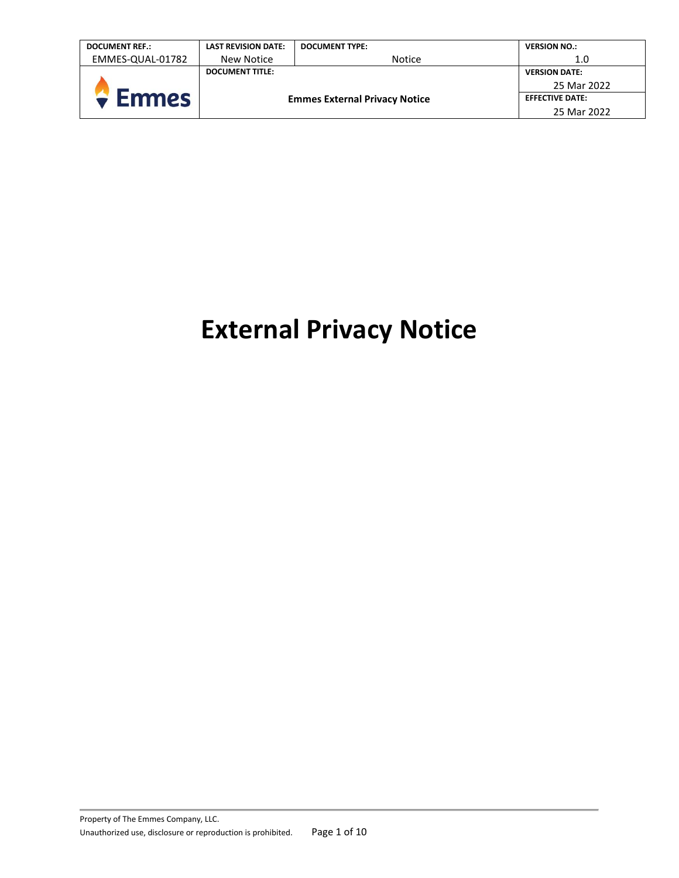| <b>DOCUMENT REF.:</b> | <b>LAST REVISION DATE:</b>           | <b>DOCUMENT TYPE:</b> | <b>VERSION NO.:</b>    |
|-----------------------|--------------------------------------|-----------------------|------------------------|
| EMMES-QUAL-01782      | New Notice                           | <b>Notice</b>         | 1.0                    |
|                       | <b>DOCUMENT TITLE:</b>               |                       | <b>VERSION DATE:</b>   |
|                       | <b>Emmes External Privacy Notice</b> |                       | 25 Mar 2022            |
| <b>Emmes</b>          |                                      |                       | <b>EFFECTIVE DATE:</b> |
|                       |                                      |                       | 25 Mar 2022            |

# **External Privacy Notice**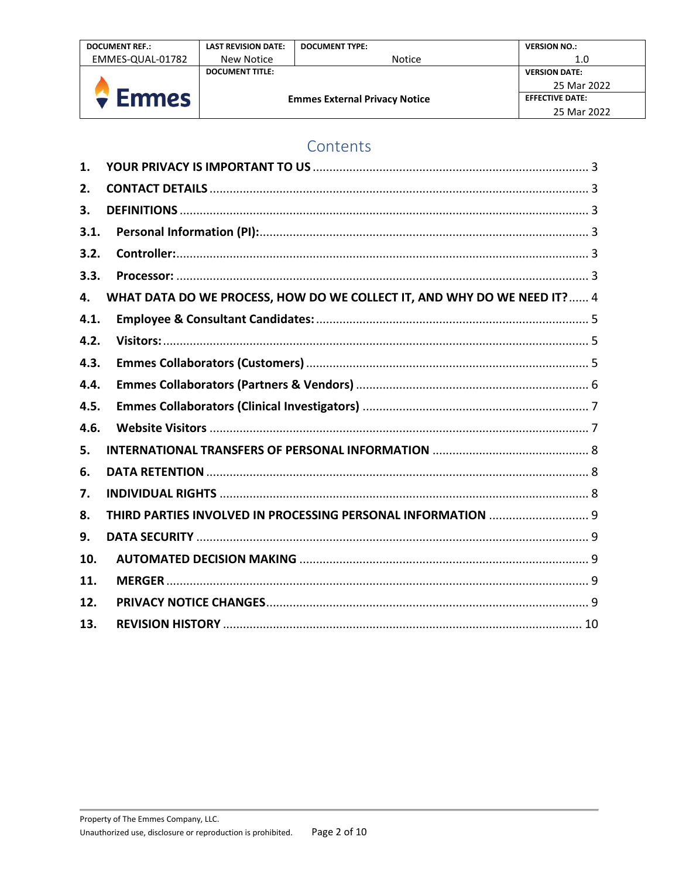| <b>DOCUMENT REF.:</b> | <b>LAST REVISION DATE:</b>           | <b>DOCUMENT TYPE:</b> | <b>VERSION NO.:</b>    |
|-----------------------|--------------------------------------|-----------------------|------------------------|
| EMMES-QUAL-01782      | New Notice                           | <b>Notice</b>         | 1.0                    |
|                       | <b>DOCUMENT TITLE:</b>               |                       | <b>VERSION DATE:</b>   |
|                       | <b>Emmes External Privacy Notice</b> |                       | 25 Mar 2022            |
| <b>Emmes</b>          |                                      |                       | <b>EFFECTIVE DATE:</b> |
|                       |                                      |                       | 25 Mar 2022            |

## Contents

| $\mathbf 1$ . |                                                                          |
|---------------|--------------------------------------------------------------------------|
| 2.            |                                                                          |
| 3.            |                                                                          |
| 3.1.          |                                                                          |
| 3.2.          |                                                                          |
| 3.3.          |                                                                          |
| 4.            | WHAT DATA DO WE PROCESS, HOW DO WE COLLECT IT, AND WHY DO WE NEED IT?  4 |
| 4.1.          |                                                                          |
| 4.2.          |                                                                          |
| 4.3.          |                                                                          |
| 4.4.          |                                                                          |
| 4.5.          |                                                                          |
| 4.6.          |                                                                          |
| 5.            |                                                                          |
| 6.            |                                                                          |
| 7.            |                                                                          |
| 8.            | THIRD PARTIES INVOLVED IN PROCESSING PERSONAL INFORMATION  9             |
| 9.            |                                                                          |
| 10.           |                                                                          |
| 11.           |                                                                          |
| 12.           |                                                                          |
| 13.           |                                                                          |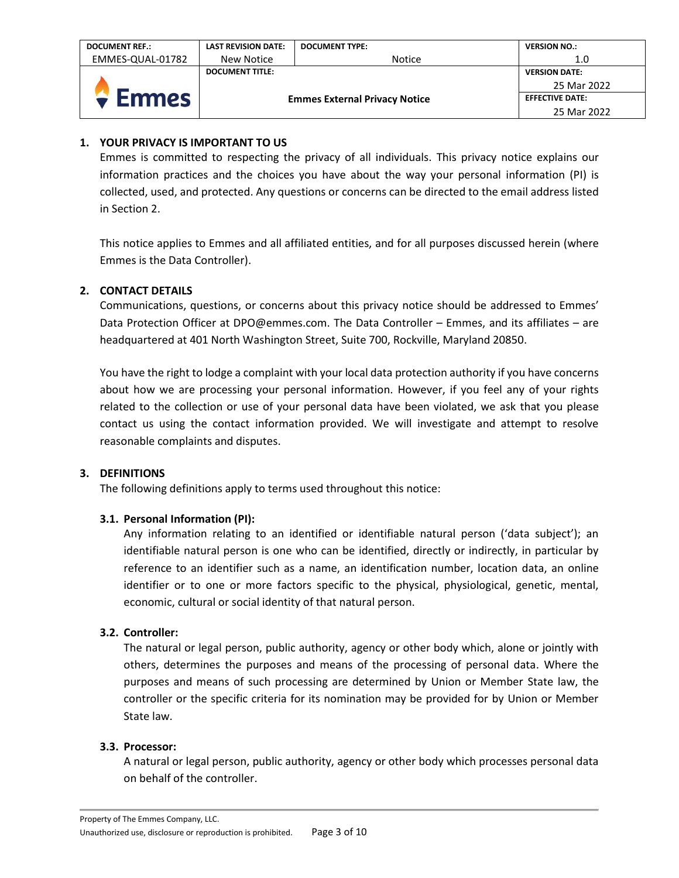| <b>DOCUMENT REF.:</b> | <b>LAST REVISION DATE:</b>           | <b>DOCUMENT TYPE:</b> | <b>VERSION NO.:</b>    |
|-----------------------|--------------------------------------|-----------------------|------------------------|
| EMMES-QUAL-01782      | New Notice                           | <b>Notice</b>         | 1.0                    |
|                       | <b>DOCUMENT TITLE:</b>               |                       | <b>VERSION DATE:</b>   |
|                       | <b>Emmes External Privacy Notice</b> |                       | 25 Mar 2022            |
| <b>Emmes</b>          |                                      |                       | <b>EFFECTIVE DATE:</b> |
|                       |                                      |                       | 25 Mar 2022            |

## <span id="page-2-0"></span>**1. YOUR PRIVACY IS IMPORTANT TO US**

Emmes is committed to respecting the privacy of all individuals. This privacy notice explains our information practices and the choices you have about the way your personal information (PI) is collected, used, and protected. Any questions or concerns can be directed to the email address listed in Section 2.

This notice applies to Emmes and all affiliated entities, and for all purposes discussed herein (where Emmes is the Data Controller).

## <span id="page-2-1"></span>**2. CONTACT DETAILS**

Communications, questions, or concerns about this privacy notice should be addressed to Emmes' Data Protection Officer at DPO@emmes.com. The Data Controller – Emmes, and its affiliates – are headquartered at 401 North Washington Street, Suite 700, Rockville, Maryland 20850.

You have the right to lodge a complaint with your local data protection authority if you have concerns about how we are processing your personal information. However, if you feel any of your rights related to the collection or use of your personal data have been violated, we ask that you please contact us using the contact information provided. We will investigate and attempt to resolve reasonable complaints and disputes.

## <span id="page-2-2"></span>**3. DEFINITIONS**

The following definitions apply to terms used throughout this notice:

## <span id="page-2-3"></span>**3.1. Personal Information (PI):**

Any information relating to an identified or identifiable natural person ('data subject'); an identifiable natural person is one who can be identified, directly or indirectly, in particular by reference to an identifier such as a name, an identification number, location data, an online identifier or to one or more factors specific to the physical, physiological, genetic, mental, economic, cultural or social identity of that natural person.

## <span id="page-2-4"></span>**3.2. Controller:**

The natural or legal person, public authority, agency or other body which, alone or jointly with others, determines the purposes and means of the processing of personal data. Where the purposes and means of such processing are determined by Union or Member State law, the controller or the specific criteria for its nomination may be provided for by Union or Member State law.

## <span id="page-2-5"></span>**3.3. Processor:**

A natural or legal person, public authority, agency or other body which processes personal data on behalf of the controller.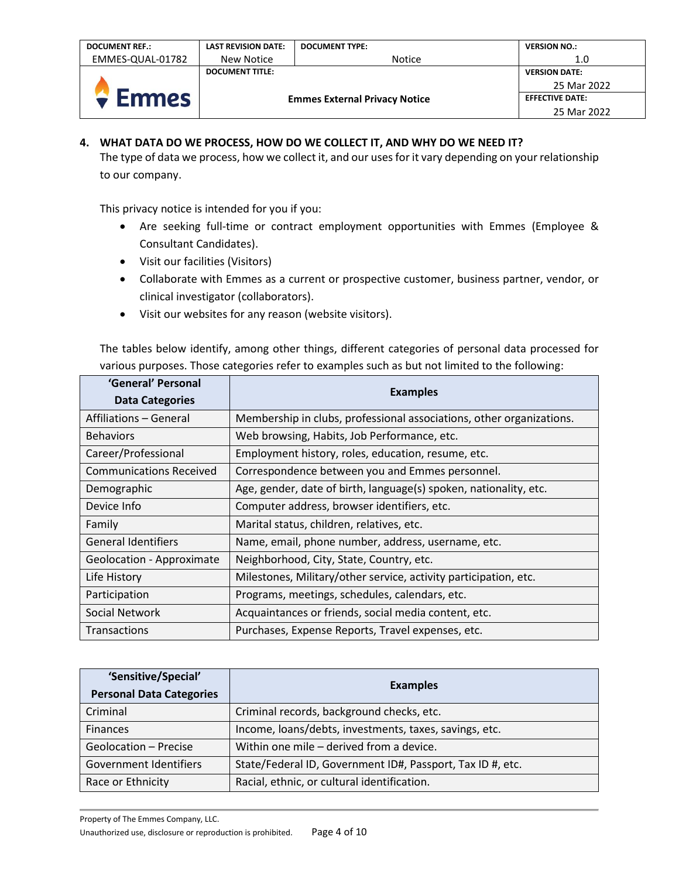| <b>DOCUMENT REF.:</b>  | <b>LAST REVISION DATE:</b>           | <b>DOCUMENT TYPE:</b> | <b>VERSION NO.:</b>    |
|------------------------|--------------------------------------|-----------------------|------------------------|
| EMMES-QUAL-01782       | New Notice                           | <b>Notice</b>         | 1.0                    |
| <b>DOCUMENT TITLE:</b> |                                      |                       | <b>VERSION DATE:</b>   |
|                        | <b>Emmes External Privacy Notice</b> |                       | 25 Mar 2022            |
| $\bullet$ Emmes        |                                      |                       | <b>EFFECTIVE DATE:</b> |
|                        |                                      |                       | 25 Mar 2022            |

## <span id="page-3-0"></span>**4. WHAT DATA DO WE PROCESS, HOW DO WE COLLECT IT, AND WHY DO WE NEED IT?**

The type of data we process, how we collect it, and our uses for it vary depending on your relationship to our company.

This privacy notice is intended for you if you:

- Are seeking full-time or contract employment opportunities with Emmes (Employee & Consultant Candidates).
- Visit our facilities (Visitors)
- Collaborate with Emmes as a current or prospective customer, business partner, vendor, or clinical investigator (collaborators).
- Visit our websites for any reason (website visitors).

The tables below identify, among other things, different categories of personal data processed for various purposes. Those categories refer to examples such as but not limited to the following:

| 'General' Personal<br><b>Data Categories</b> | <b>Examples</b>                                                      |
|----------------------------------------------|----------------------------------------------------------------------|
| Affiliations – General                       | Membership in clubs, professional associations, other organizations. |
| <b>Behaviors</b>                             | Web browsing, Habits, Job Performance, etc.                          |
| Career/Professional                          | Employment history, roles, education, resume, etc.                   |
| <b>Communications Received</b>               | Correspondence between you and Emmes personnel.                      |
| Demographic                                  | Age, gender, date of birth, language(s) spoken, nationality, etc.    |
| Device Info                                  | Computer address, browser identifiers, etc.                          |
| Family                                       | Marital status, children, relatives, etc.                            |
| <b>General Identifiers</b>                   | Name, email, phone number, address, username, etc.                   |
| Geolocation - Approximate                    | Neighborhood, City, State, Country, etc.                             |
| Life History                                 | Milestones, Military/other service, activity participation, etc.     |
| Participation                                | Programs, meetings, schedules, calendars, etc.                       |
| Social Network                               | Acquaintances or friends, social media content, etc.                 |
| <b>Transactions</b>                          | Purchases, Expense Reports, Travel expenses, etc.                    |

| 'Sensitive/Special'             | <b>Examples</b>                                            |  |
|---------------------------------|------------------------------------------------------------|--|
| <b>Personal Data Categories</b> |                                                            |  |
| Criminal                        | Criminal records, background checks, etc.                  |  |
| <b>Finances</b>                 | Income, loans/debts, investments, taxes, savings, etc.     |  |
| Geolocation - Precise           | Within one mile - derived from a device.                   |  |
| Government Identifiers          | State/Federal ID, Government ID#, Passport, Tax ID #, etc. |  |
| Race or Ethnicity               | Racial, ethnic, or cultural identification.                |  |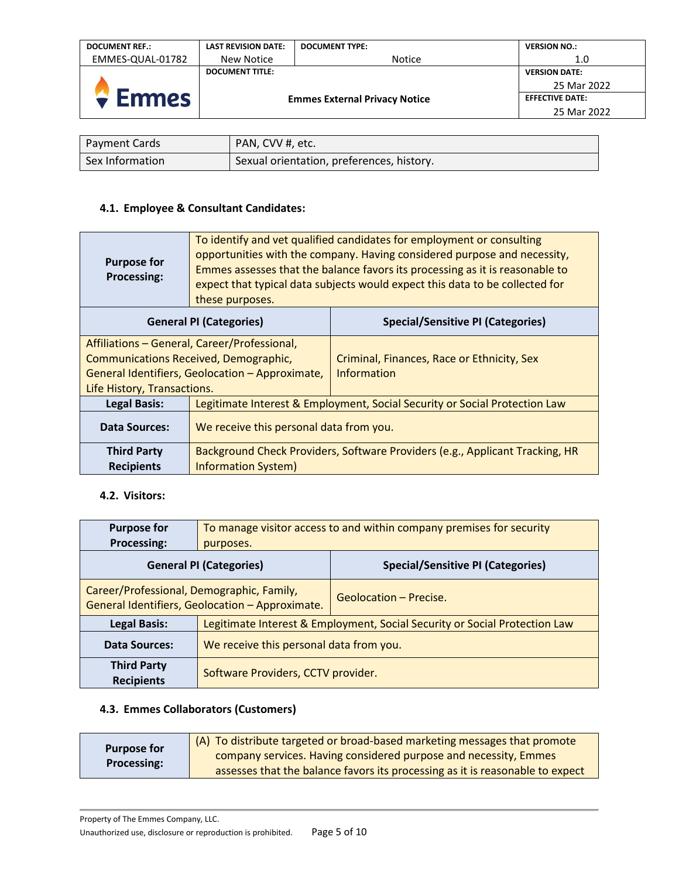| <b>DOCUMENT REF.:</b> | <b>LAST REVISION DATE:</b>           | <b>DOCUMENT TYPE:</b> | <b>VERSION NO.:</b>    |
|-----------------------|--------------------------------------|-----------------------|------------------------|
| EMMES-QUAL-01782      | New Notice                           | <b>Notice</b>         | 1.0                    |
|                       | <b>DOCUMENT TITLE:</b>               |                       | <b>VERSION DATE:</b>   |
| $\bullet$ Emmes       | <b>Emmes External Privacy Notice</b> |                       | 25 Mar 2022            |
|                       |                                      |                       | <b>EFFECTIVE DATE:</b> |
|                       |                                      |                       |                        |

| <b>Payment Cards</b> | PAN, CVV #, etc.                          |
|----------------------|-------------------------------------------|
| Sex Information      | Sexual orientation, preferences, history. |

## <span id="page-4-0"></span>**4.1. Employee & Consultant Candidates:**

| <b>Purpose for</b><br><b>Processing:</b>                                   | To identify and vet qualified candidates for employment or consulting<br>opportunities with the company. Having considered purpose and necessity,<br>Emmes assesses that the balance favors its processing as it is reasonable to<br>expect that typical data subjects would expect this data to be collected for<br>these purposes. |                                            |  |
|----------------------------------------------------------------------------|--------------------------------------------------------------------------------------------------------------------------------------------------------------------------------------------------------------------------------------------------------------------------------------------------------------------------------------|--------------------------------------------|--|
| <b>Special/Sensitive PI (Categories)</b><br><b>General PI (Categories)</b> |                                                                                                                                                                                                                                                                                                                                      |                                            |  |
| Affiliations - General, Career/Professional,                               |                                                                                                                                                                                                                                                                                                                                      |                                            |  |
|                                                                            | Communications Received, Demographic,                                                                                                                                                                                                                                                                                                | Criminal, Finances, Race or Ethnicity, Sex |  |
| General Identifiers, Geolocation - Approximate,                            |                                                                                                                                                                                                                                                                                                                                      | <b>Information</b>                         |  |
| Life History, Transactions.                                                |                                                                                                                                                                                                                                                                                                                                      |                                            |  |
| <b>Legal Basis:</b>                                                        | Legitimate Interest & Employment, Social Security or Social Protection Law                                                                                                                                                                                                                                                           |                                            |  |
| <b>Data Sources:</b>                                                       | We receive this personal data from you.                                                                                                                                                                                                                                                                                              |                                            |  |
| <b>Third Party</b>                                                         | Background Check Providers, Software Providers (e.g., Applicant Tracking, HR                                                                                                                                                                                                                                                         |                                            |  |
| <b>Recipients</b>                                                          | <b>Information System)</b>                                                                                                                                                                                                                                                                                                           |                                            |  |

## <span id="page-4-1"></span>**4.2. Visitors:**

| <b>Purpose for</b>                                                                           | To manage visitor access to and within company premises for security       |                                          |
|----------------------------------------------------------------------------------------------|----------------------------------------------------------------------------|------------------------------------------|
| <b>Processing:</b>                                                                           | purposes.                                                                  |                                          |
| <b>General PI (Categories)</b>                                                               |                                                                            | <b>Special/Sensitive PI (Categories)</b> |
| Career/Professional, Demographic, Family,<br>General Identifiers, Geolocation - Approximate. |                                                                            | Geolocation - Precise.                   |
| <b>Legal Basis:</b>                                                                          | Legitimate Interest & Employment, Social Security or Social Protection Law |                                          |
| <b>Data Sources:</b>                                                                         | We receive this personal data from you.                                    |                                          |
| <b>Third Party</b><br><b>Recipients</b>                                                      | Software Providers, CCTV provider.                                         |                                          |

## <span id="page-4-2"></span>**4.3. Emmes Collaborators (Customers)**

| <b>Purpose for</b> | (A) To distribute targeted or broad-based marketing messages that promote     |
|--------------------|-------------------------------------------------------------------------------|
| <b>Processing:</b> | company services. Having considered purpose and necessity, Emmes              |
|                    | assesses that the balance favors its processing as it is reasonable to expect |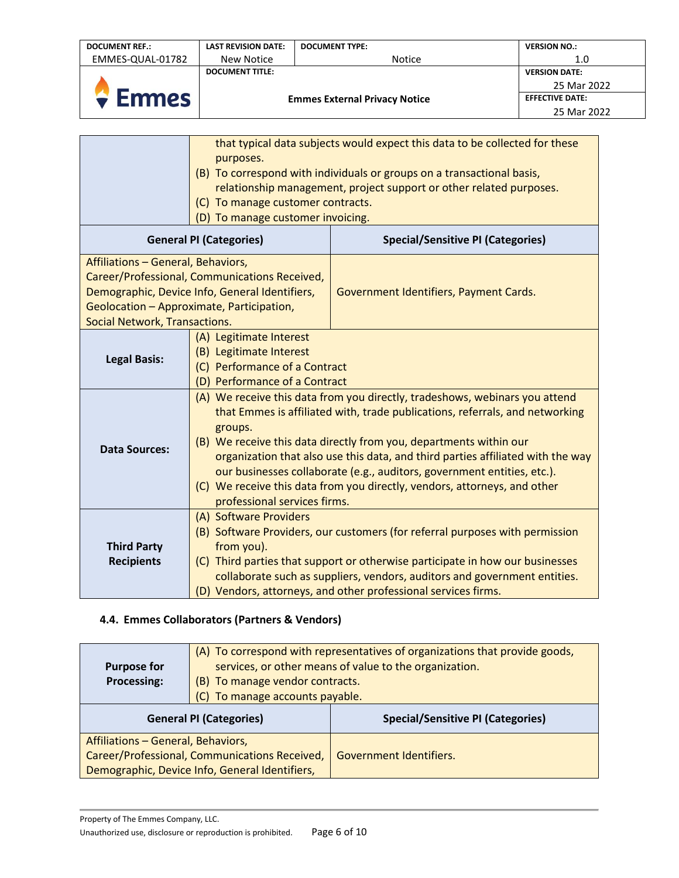| <b>DOCUMENT REF.:</b> | <b>LAST REVISION DATE:</b>           | <b>DOCUMENT TYPE:</b> | <b>VERSION NO.:</b>    |
|-----------------------|--------------------------------------|-----------------------|------------------------|
| EMMES-QUAL-01782      | New Notice                           | <b>Notice</b>         | 1.0                    |
|                       | <b>DOCUMENT TITLE:</b>               |                       | <b>VERSION DATE:</b>   |
|                       | <b>Emmes External Privacy Notice</b> |                       | 25 Mar 2022            |
| <b>Emmes</b>          |                                      |                       | <b>EFFECTIVE DATE:</b> |
|                       |                                      |                       | 25 Mar 2022            |

|                                                                     | purposes.<br>(C) To manage customer contracts.                                                                                                                                                                                                                                                                                                                                                                                                                                                                          | that typical data subjects would expect this data to be collected for these<br>(B) To correspond with individuals or groups on a transactional basis,<br>relationship management, project support or other related purposes.                                                                                 |
|---------------------------------------------------------------------|-------------------------------------------------------------------------------------------------------------------------------------------------------------------------------------------------------------------------------------------------------------------------------------------------------------------------------------------------------------------------------------------------------------------------------------------------------------------------------------------------------------------------|--------------------------------------------------------------------------------------------------------------------------------------------------------------------------------------------------------------------------------------------------------------------------------------------------------------|
|                                                                     | (D) To manage customer invoicing.                                                                                                                                                                                                                                                                                                                                                                                                                                                                                       |                                                                                                                                                                                                                                                                                                              |
|                                                                     | <b>General PI (Categories)</b>                                                                                                                                                                                                                                                                                                                                                                                                                                                                                          | <b>Special/Sensitive PI (Categories)</b>                                                                                                                                                                                                                                                                     |
| Affiliations - General, Behaviors,<br>Social Network, Transactions. | Career/Professional, Communications Received,<br>Demographic, Device Info, General Identifiers,<br>Geolocation - Approximate, Participation,                                                                                                                                                                                                                                                                                                                                                                            | Government Identifiers, Payment Cards.                                                                                                                                                                                                                                                                       |
| <b>Legal Basis:</b>                                                 | (A) Legitimate Interest<br>(B) Legitimate Interest<br>(C) Performance of a Contract<br>(D) Performance of a Contract                                                                                                                                                                                                                                                                                                                                                                                                    |                                                                                                                                                                                                                                                                                                              |
| <b>Data Sources:</b>                                                | (A) We receive this data from you directly, tradeshows, webinars you attend<br>that Emmes is affiliated with, trade publications, referrals, and networking<br>groups.<br>(B) We receive this data directly from you, departments within our<br>organization that also use this data, and third parties affiliated with the way<br>our businesses collaborate (e.g., auditors, government entities, etc.).<br>(C) We receive this data from you directly, vendors, attorneys, and other<br>professional services firms. |                                                                                                                                                                                                                                                                                                              |
| <b>Third Party</b><br><b>Recipients</b>                             | (A) Software Providers<br>from you).                                                                                                                                                                                                                                                                                                                                                                                                                                                                                    | (B) Software Providers, our customers (for referral purposes with permission<br>(C) Third parties that support or otherwise participate in how our businesses<br>collaborate such as suppliers, vendors, auditors and government entities.<br>(D) Vendors, attorneys, and other professional services firms. |

## <span id="page-5-0"></span>**4.4. Emmes Collaborators (Partners & Vendors)**

| <b>Purpose for</b><br><b>Processing:</b> | (B) To manage vendor contracts.<br>(C) To manage accounts payable. | (A) To correspond with representatives of organizations that provide goods,<br>services, or other means of value to the organization. |
|------------------------------------------|--------------------------------------------------------------------|---------------------------------------------------------------------------------------------------------------------------------------|
| <b>General PI (Categories)</b>           |                                                                    | <b>Special/Sensitive PI (Categories)</b>                                                                                              |
|                                          |                                                                    |                                                                                                                                       |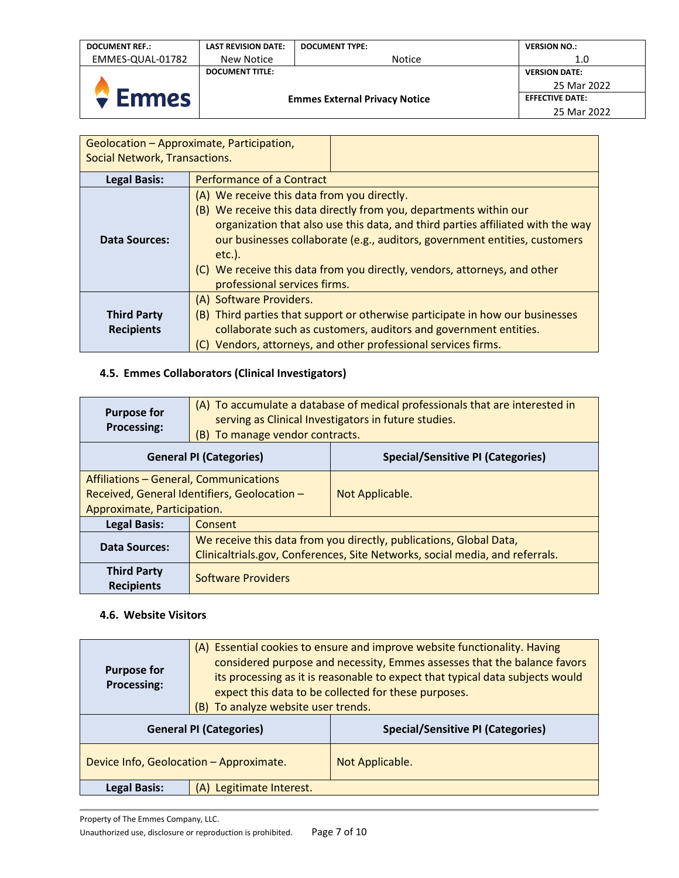| <b>DOCUMENT REF.:</b> | <b>LAST REVISION DATE:</b>           | <b>DOCUMENT TYPE:</b> | <b>VERSION NO.:</b>    |
|-----------------------|--------------------------------------|-----------------------|------------------------|
| EMMES-QUAL-01782      | New Notice                           | <b>Notice</b>         | 1.0                    |
|                       | <b>DOCUMENT TITLE:</b>               |                       | <b>VERSION DATE:</b>   |
|                       |                                      |                       | 25 Mar 2022            |
| <b>Emmes</b>          | <b>Emmes External Privacy Notice</b> |                       | <b>EFFECTIVE DATE:</b> |
|                       |                                      |                       | 25 Mar 2022            |

| Social Network, Transactions.           | Geolocation – Approximate, Participation,                                                                                                                                                                                                                                                                                                                                    |  |
|-----------------------------------------|------------------------------------------------------------------------------------------------------------------------------------------------------------------------------------------------------------------------------------------------------------------------------------------------------------------------------------------------------------------------------|--|
| <b>Legal Basis:</b>                     | <b>Performance of a Contract</b>                                                                                                                                                                                                                                                                                                                                             |  |
| <b>Data Sources:</b>                    | (A) We receive this data from you directly.<br>(B) We receive this data directly from you, departments within our<br>organization that also use this data, and third parties affiliated with the way<br>our businesses collaborate (e.g., auditors, government entities, customers<br>$etc.$ ).<br>(C) We receive this data from you directly, vendors, attorneys, and other |  |
|                                         | professional services firms.                                                                                                                                                                                                                                                                                                                                                 |  |
| <b>Third Party</b><br><b>Recipients</b> | (A) Software Providers.<br>(B) Third parties that support or otherwise participate in how our businesses<br>collaborate such as customers, auditors and government entities.                                                                                                                                                                                                 |  |
|                                         | Vendors, attorneys, and other professional services firms.                                                                                                                                                                                                                                                                                                                   |  |

## <span id="page-6-0"></span>**4.5. Emmes Collaborators (Clinical Investigators)**

| <b>Purpose for</b><br><b>Processing:</b>                                                                                     | (A) To accumulate a database of medical professionals that are interested in<br>serving as Clinical Investigators in future studies.<br>(B) To manage vendor contracts. |                                          |
|------------------------------------------------------------------------------------------------------------------------------|-------------------------------------------------------------------------------------------------------------------------------------------------------------------------|------------------------------------------|
| <b>General PI (Categories)</b>                                                                                               |                                                                                                                                                                         | <b>Special/Sensitive PI (Categories)</b> |
| <b>Affiliations - General, Communications</b><br>Received, General Identifiers, Geolocation -<br>Approximate, Participation. |                                                                                                                                                                         | Not Applicable.                          |
| <b>Legal Basis:</b>                                                                                                          | Consent                                                                                                                                                                 |                                          |
| <b>Data Sources:</b>                                                                                                         | We receive this data from you directly, publications, Global Data,<br>Clinicaltrials.gov, Conferences, Site Networks, social media, and referrals.                      |                                          |
| <b>Third Party</b><br><b>Recipients</b>                                                                                      | <b>Software Providers</b>                                                                                                                                               |                                          |

## <span id="page-6-1"></span>**4.6. Website Visitors**

| <b>Purpose for</b><br>Processing:       | (A) Essential cookies to ensure and improve website functionality. Having<br>considered purpose and necessity, Emmes assesses that the balance favors<br>its processing as it is reasonable to expect that typical data subjects would<br>expect this data to be collected for these purposes.<br>(B) To analyze website user trends. |                                          |
|-----------------------------------------|---------------------------------------------------------------------------------------------------------------------------------------------------------------------------------------------------------------------------------------------------------------------------------------------------------------------------------------|------------------------------------------|
| <b>General PI (Categories)</b>          |                                                                                                                                                                                                                                                                                                                                       | <b>Special/Sensitive PI (Categories)</b> |
| Device Info, Geolocation - Approximate. |                                                                                                                                                                                                                                                                                                                                       | Not Applicable.                          |
| <b>Legal Basis:</b>                     | (A) Legitimate Interest.                                                                                                                                                                                                                                                                                                              |                                          |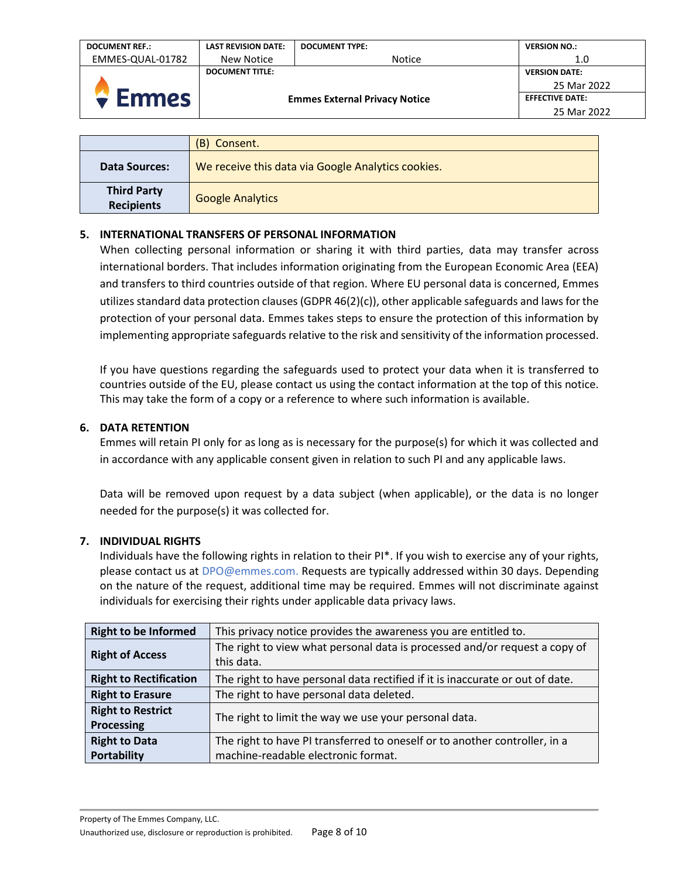| <b>DOCUMENT REF.:</b> | <b>LAST REVISION DATE:</b>           | <b>DOCUMENT TYPE:</b> | <b>VERSION NO.:</b>    |
|-----------------------|--------------------------------------|-----------------------|------------------------|
| EMMES-QUAL-01782      | New Notice                           | <b>Notice</b>         | 1.0                    |
|                       | <b>DOCUMENT TITLE:</b>               |                       | <b>VERSION DATE:</b>   |
|                       | <b>Emmes External Privacy Notice</b> |                       | 25 Mar 2022            |
| <b>Emmes</b>          |                                      |                       | <b>EFFECTIVE DATE:</b> |
|                       |                                      |                       | 25 Mar 2022            |

|                                         | (B) Consent.                                       |
|-----------------------------------------|----------------------------------------------------|
| <b>Data Sources:</b>                    | We receive this data via Google Analytics cookies. |
| <b>Third Party</b><br><b>Recipients</b> | <b>Google Analytics</b>                            |

## <span id="page-7-0"></span>**5. INTERNATIONAL TRANSFERS OF PERSONAL INFORMATION**

When collecting personal information or sharing it with third parties, data may transfer across international borders. That includes information originating from the European Economic Area (EEA) and transfers to third countries outside of that region. Where EU personal data is concerned, Emmes utilizes standard data protection clauses (GDPR 46(2)(c)), other applicable safeguards and laws for the protection of your personal data. Emmes takes steps to ensure the protection of this information by implementing appropriate safeguards relative to the risk and sensitivity of the information processed.

If you have questions regarding the safeguards used to protect your data when it is transferred to countries outside of the EU, please contact us using the contact information at the top of this notice. This may take the form of a copy or a reference to where such information is available.

## <span id="page-7-1"></span>**6. DATA RETENTION**

Emmes will retain PI only for as long as is necessary for the purpose(s) for which it was collected and in accordance with any applicable consent given in relation to such PI and any applicable laws.

Data will be removed upon request by a data subject (when applicable), or the data is no longer needed for the purpose(s) it was collected for.

## <span id="page-7-2"></span>**7. INDIVIDUAL RIGHTS**

Individuals have the following rights in relation to their PI\*. If you wish to exercise any of your rights, please contact us at DPO@emmes.com. Requests are typically addressed within 30 days. Depending on the nature of the request, additional time may be required. Emmes will not discriminate against individuals for exercising their rights under applicable data privacy laws.

| <b>Right to be Informed</b>   | This privacy notice provides the awareness you are entitled to.               |  |
|-------------------------------|-------------------------------------------------------------------------------|--|
| <b>Right of Access</b>        | The right to view what personal data is processed and/or request a copy of    |  |
|                               | this data.                                                                    |  |
| <b>Right to Rectification</b> | The right to have personal data rectified if it is inaccurate or out of date. |  |
| <b>Right to Erasure</b>       | The right to have personal data deleted.                                      |  |
| <b>Right to Restrict</b>      | The right to limit the way we use your personal data.                         |  |
| <b>Processing</b>             |                                                                               |  |
| <b>Right to Data</b>          | The right to have PI transferred to oneself or to another controller, in a    |  |
| <b>Portability</b>            | machine-readable electronic format.                                           |  |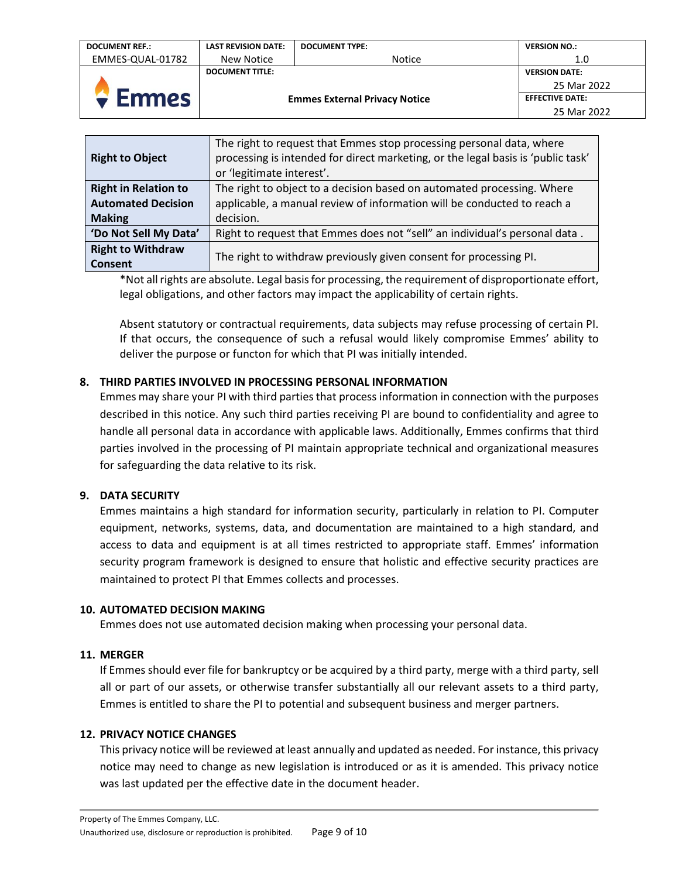| <b>DOCUMENT REF.:</b> | <b>LAST REVISION DATE:</b>           | <b>DOCUMENT TYPE:</b> | <b>VERSION NO.:</b>    |
|-----------------------|--------------------------------------|-----------------------|------------------------|
| EMMES-QUAL-01782      | New Notice                           | <b>Notice</b>         | 1.0                    |
|                       | <b>DOCUMENT TITLE:</b>               |                       | <b>VERSION DATE:</b>   |
|                       | <b>Emmes External Privacy Notice</b> |                       | 25 Mar 2022            |
| $\div$ Emmes          |                                      |                       | <b>EFFECTIVE DATE:</b> |
|                       |                                      |                       | 25 Mar 2022            |

| <b>Right to Object</b>      | The right to request that Emmes stop processing personal data, where<br>processing is intended for direct marketing, or the legal basis is 'public task'<br>or 'legitimate interest'. |
|-----------------------------|---------------------------------------------------------------------------------------------------------------------------------------------------------------------------------------|
| <b>Right in Relation to</b> | The right to object to a decision based on automated processing. Where                                                                                                                |
| <b>Automated Decision</b>   | applicable, a manual review of information will be conducted to reach a                                                                                                               |
| <b>Making</b>               | decision.                                                                                                                                                                             |
| 'Do Not Sell My Data'       | Right to request that Emmes does not "sell" an individual's personal data.                                                                                                            |
| <b>Right to Withdraw</b>    | The right to withdraw previously given consent for processing PI.                                                                                                                     |
| Consent                     |                                                                                                                                                                                       |

\*Not all rights are absolute. Legal basis for processing, the requirement of disproportionate effort, legal obligations, and other factors may impact the applicability of certain rights.

Absent statutory or contractual requirements, data subjects may refuse processing of certain PI. If that occurs, the consequence of such a refusal would likely compromise Emmes' ability to deliver the purpose or functon for which that PI was initially intended.

## <span id="page-8-0"></span>**8. THIRD PARTIES INVOLVED IN PROCESSING PERSONAL INFORMATION**

Emmes may share your PI with third parties that process information in connection with the purposes described in this notice. Any such third parties receiving PI are bound to confidentiality and agree to handle all personal data in accordance with applicable laws. Additionally, Emmes confirms that third parties involved in the processing of PI maintain appropriate technical and organizational measures for safeguarding the data relative to its risk.

## <span id="page-8-1"></span>**9. DATA SECURITY**

Emmes maintains a high standard for information security, particularly in relation to PI. Computer equipment, networks, systems, data, and documentation are maintained to a high standard, and access to data and equipment is at all times restricted to appropriate staff. Emmes' information security program framework is designed to ensure that holistic and effective security practices are maintained to protect PI that Emmes collects and processes.

## <span id="page-8-2"></span>**10. AUTOMATED DECISION MAKING**

Emmes does not use automated decision making when processing your personal data.

## <span id="page-8-3"></span>**11. MERGER**

If Emmes should ever file for bankruptcy or be acquired by a third party, merge with a third party, sell all or part of our assets, or otherwise transfer substantially all our relevant assets to a third party, Emmes is entitled to share the PI to potential and subsequent business and merger partners.

## <span id="page-8-4"></span>**12. PRIVACY NOTICE CHANGES**

This privacy notice will be reviewed at least annually and updated as needed. For instance, this privacy notice may need to change as new legislation is introduced or as it is amended. This privacy notice was last updated per the effective date in the document header.